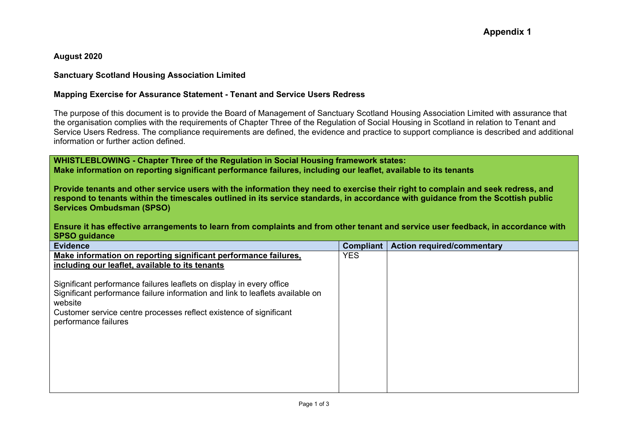**August 2020**

## **Sanctuary Scotland Housing Association Limited**

## **Mapping Exercise for Assurance Statement - Tenant and Service Users Redress**

The purpose of this document is to provide the Board of Management of Sanctuary Scotland Housing Association Limited with assurance that the organisation complies with the requirements of Chapter Three of the Regulation of Social Housing in Scotland in relation to Tenant and Service Users Redress. The compliance requirements are defined, the evidence and practice to support compliance is described and additional information or further action defined.

**WHISTLEBLOWING - Chapter Three of the Regulation in Social Housing framework states: Make information on reporting significant performance failures, including our leaflet, available to its tenants**

**Provide tenants and other service users with the information they need to exercise their right to complain and seek redress, and respond to tenants within the timescales outlined in its service standards, in accordance with guidance from the Scottish public Services Ombudsman (SPSO)**

**Ensure it has effective arrangements to learn from complaints and from other tenant and service user feedback, in accordance with SPSO guidance**

| <b>Evidence</b>                                                                                                                                                                                                                                                | <b>Compliant</b> | <b>Action required/commentary</b> |
|----------------------------------------------------------------------------------------------------------------------------------------------------------------------------------------------------------------------------------------------------------------|------------------|-----------------------------------|
| Make information on reporting significant performance failures,                                                                                                                                                                                                | <b>YES</b>       |                                   |
| including our leaflet, available to its tenants                                                                                                                                                                                                                |                  |                                   |
| Significant performance failures leaflets on display in every office<br>Significant performance failure information and link to leaflets available on<br>website<br>Customer service centre processes reflect existence of significant<br>performance failures |                  |                                   |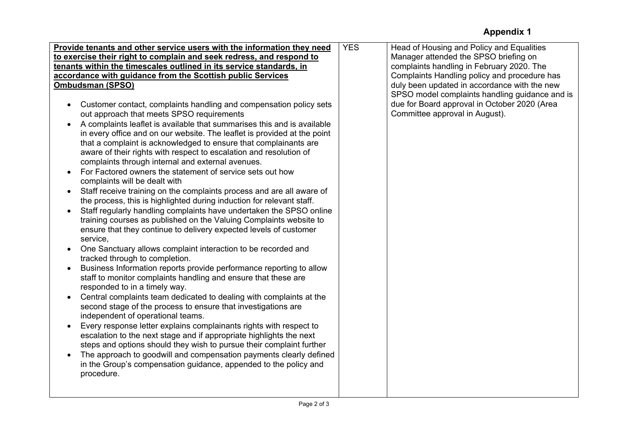## **Appendix 1**

|                                                                                                                                                | <b>YES</b> |                                                                                    |
|------------------------------------------------------------------------------------------------------------------------------------------------|------------|------------------------------------------------------------------------------------|
| Provide tenants and other service users with the information they need<br>to exercise their right to complain and seek redress, and respond to |            | Head of Housing and Policy and Equalities<br>Manager attended the SPSO briefing on |
|                                                                                                                                                |            |                                                                                    |
| tenants within the timescales outlined in its service standards, in                                                                            |            | complaints handling in February 2020. The                                          |
| accordance with guidance from the Scottish public Services                                                                                     |            | Complaints Handling policy and procedure has                                       |
| <b>Ombudsman (SPSO)</b>                                                                                                                        |            | duly been updated in accordance with the new                                       |
|                                                                                                                                                |            | SPSO model complaints handling guidance and is                                     |
| Customer contact, complaints handling and compensation policy sets<br>$\bullet$                                                                |            | due for Board approval in October 2020 (Area                                       |
| out approach that meets SPSO requirements                                                                                                      |            | Committee approval in August).                                                     |
| A complaints leaflet is available that summarises this and is available<br>$\bullet$                                                           |            |                                                                                    |
| in every office and on our website. The leaflet is provided at the point                                                                       |            |                                                                                    |
| that a complaint is acknowledged to ensure that complainants are                                                                               |            |                                                                                    |
| aware of their rights with respect to escalation and resolution of                                                                             |            |                                                                                    |
| complaints through internal and external avenues.                                                                                              |            |                                                                                    |
| For Factored owners the statement of service sets out how<br>$\bullet$                                                                         |            |                                                                                    |
| complaints will be dealt with                                                                                                                  |            |                                                                                    |
| Staff receive training on the complaints process and are all aware of<br>$\bullet$                                                             |            |                                                                                    |
| the process, this is highlighted during induction for relevant staff.                                                                          |            |                                                                                    |
| Staff regularly handling complaints have undertaken the SPSO online                                                                            |            |                                                                                    |
| training courses as published on the Valuing Complaints website to                                                                             |            |                                                                                    |
| ensure that they continue to delivery expected levels of customer                                                                              |            |                                                                                    |
| service,                                                                                                                                       |            |                                                                                    |
| One Sanctuary allows complaint interaction to be recorded and                                                                                  |            |                                                                                    |
| tracked through to completion.                                                                                                                 |            |                                                                                    |
|                                                                                                                                                |            |                                                                                    |
| Business Information reports provide performance reporting to allow<br>$\bullet$                                                               |            |                                                                                    |
| staff to monitor complaints handling and ensure that these are                                                                                 |            |                                                                                    |
| responded to in a timely way.                                                                                                                  |            |                                                                                    |
| Central complaints team dedicated to dealing with complaints at the<br>$\bullet$                                                               |            |                                                                                    |
| second stage of the process to ensure that investigations are                                                                                  |            |                                                                                    |
| independent of operational teams.                                                                                                              |            |                                                                                    |
| Every response letter explains complainants rights with respect to<br>$\bullet$                                                                |            |                                                                                    |
| escalation to the next stage and if appropriate highlights the next                                                                            |            |                                                                                    |
| steps and options should they wish to pursue their complaint further                                                                           |            |                                                                                    |
| The approach to goodwill and compensation payments clearly defined                                                                             |            |                                                                                    |
| in the Group's compensation guidance, appended to the policy and                                                                               |            |                                                                                    |
| procedure.                                                                                                                                     |            |                                                                                    |
|                                                                                                                                                |            |                                                                                    |
|                                                                                                                                                |            |                                                                                    |